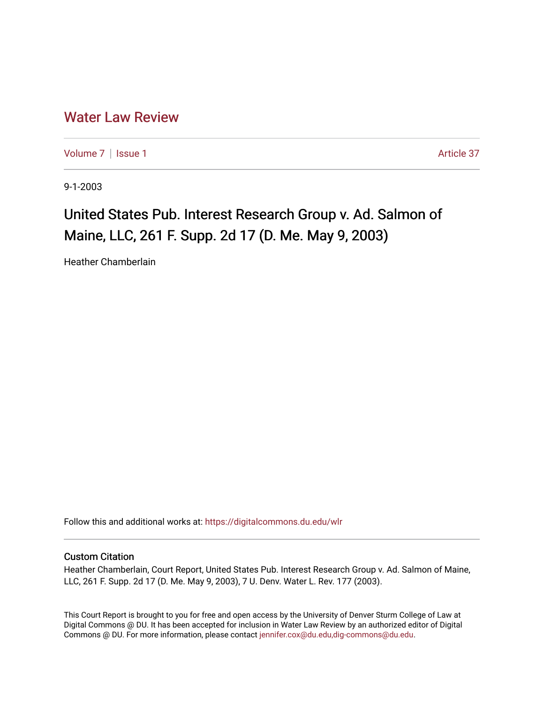# [Water Law Review](https://digitalcommons.du.edu/wlr)

[Volume 7](https://digitalcommons.du.edu/wlr/vol7) | [Issue 1](https://digitalcommons.du.edu/wlr/vol7/iss1) Article 37

9-1-2003

# United States Pub. Interest Research Group v. Ad. Salmon of Maine, LLC, 261 F. Supp. 2d 17 (D. Me. May 9, 2003)

Heather Chamberlain

Follow this and additional works at: [https://digitalcommons.du.edu/wlr](https://digitalcommons.du.edu/wlr?utm_source=digitalcommons.du.edu%2Fwlr%2Fvol7%2Fiss1%2F37&utm_medium=PDF&utm_campaign=PDFCoverPages) 

## Custom Citation

Heather Chamberlain, Court Report, United States Pub. Interest Research Group v. Ad. Salmon of Maine, LLC, 261 F. Supp. 2d 17 (D. Me. May 9, 2003), 7 U. Denv. Water L. Rev. 177 (2003).

This Court Report is brought to you for free and open access by the University of Denver Sturm College of Law at Digital Commons @ DU. It has been accepted for inclusion in Water Law Review by an authorized editor of Digital Commons @ DU. For more information, please contact [jennifer.cox@du.edu,dig-commons@du.edu.](mailto:jennifer.cox@du.edu,dig-commons@du.edu)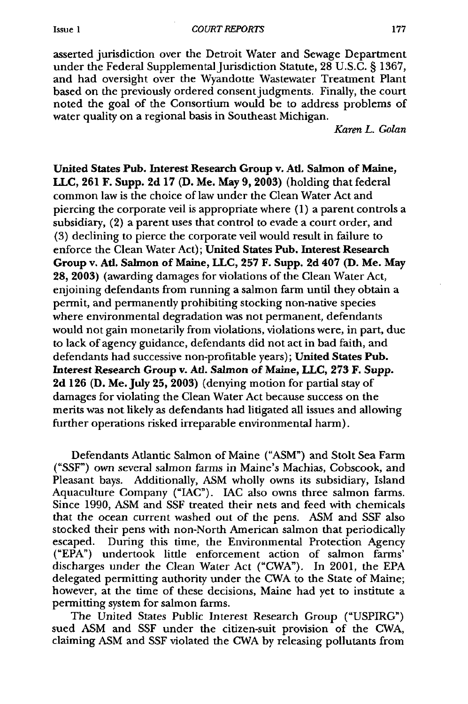asserted jurisdiction over the Detroit Water and Sewage Department under the Federal Supplemental Jurisdiction Statute, 28 U.S.C. § 1367, and had oversight over the Wyandotte Wastewater Treatment Plant based on the previously ordered consent judgments. Finally, the court noted the goal of the Consortium would be to address problems of water quality on a regional basis in Southeast Michigan.

*Karen L. Golan*

United States Pub. Interest Research Group v. Ad. Salmon of Maine, **LLC, 261** F. Supp. **2d 17 (D.** Me. May **9, 2003)** (holding that federal common law is the choice of law under the Clean Water Act and piercing the corporate veil is appropriate where **(1)** a parent controls a subsidiary, (2) a parent uses that control to evade a court order, and **(3)** declining to pierce the corporate veil would result in failure to enforce the Clean Water Act); United States Pub. Interest Research Group v. Ad. Salmon of Maine, **LLC, 257** F. Supp. **2d** 407 **(D.** Me. May **28, 2003)** (awarding damages for violations of the Clean Water Act, enjoining defendants from running a salmon farm until they obtain a permit, and permanently prohibiting stocking non-native species where environmental degradation was not permanent, defendants would not gain monetarily from violations, violations were, in part, due to lack of agency guidance, defendants did not act in bad faith, and defendants had successive non-profitable years); United States Pub. Interest Research Group v. Ad. Salmon of Maine, **LLC, 273** F. Supp. **2d 126 (D.** Me. July **25, 2003)** (denying motion for partial stay of damages for violating the Clean Water Act because success on the merits was not likely as defendants had litigated all issues and allowing further operations risked irreparable environmental harm).

Defendants Atlantic Salmon of Maine ("ASM") and Stolt Sea Farm ("SSF") own several salmon farms in Maine's Machias, Cobscook, and Pleasant bays. Additionally, ASM wholly owns its subsidiary, Island Aquaculture Company ("IAC"). IAC also owns three salmon farms. Since 1990, ASM and SSF treated their nets and feed with chemicals that the ocean current washed out of the pens. ASM and SSF also stocked their pens with non-North American salmon that periodically escaped. During this time, the Environmental Protection Agency ("EPA") undertook little enforcement action of salmon farms' discharges under the Clean Water Act ("CWA"). In 2001, the EPA delegated permitting authority under the CWA to the State of Maine; however, at the time of these decisions, Maine had yet to institute a permitting system for salmon farms.

The United States Public Interest Research Group ("USPIRG") sued ASM and **SSF** under the citizen-suit provision of the CWA, claiming ASM and SSF violated the CWA by releasing pollutants from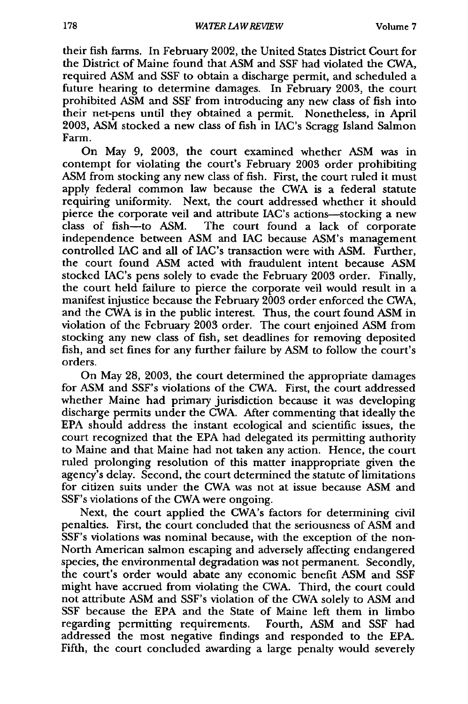their fish farms. In February 2002, the United States District Court for the District of Maine found that ASM and **SSF** had violated the CWA, required ASM and SSF to obtain a discharge permit, and scheduled a future hearing to determine damages. In February 2003, the court prohibited ASM and **SSF** from introducing any new class of fish into their net-pens until they obtained a permit. Nonetheless, in April 2003, ASM stocked a new class of fish in IAC's Scragg Island Salmon Farm.

On May 9, 2003, the court examined whether ASM was in contempt for violating the court's February 2003 order prohibiting ASM from stocking any new class of fish. First, the court ruled it must apply federal common law because the CWA is a federal statute requiring uniformity. Next, the court addressed whether it should pierce the corporate veil and attribute IAC's actions-stocking a new class of fish-to ASM. The court found a lack of corporate independence between ASM and *LAC* because ASM's management controlled **IAC** and all of IAC's transaction were with ASM. Further, the court found ASM acted with fraudulent intent because ASM stocked IAC's pens solely to evade the February 2003 order. Finally, the court held failure to pierce the corporate veil would result in a manifest injustice because the February 2003 order enforced the CWA, and the CWA is in the public interest. Thus, the court found ASM in violation of the February 2003 order. The court enjoined ASM from stocking any new class of fish, set deadlines for removing deposited fish, and set fines for any further failure by ASM to follow the court's orders.

On May 28, 2003, the court determined the appropriate damages for ASM and SSF's violations of the CWA. First, the court addressed whether Maine had primary jurisdiction because it was developing discharge permits under the CWA. After commenting that ideally the EPA should address the instant ecological and scientific issues, the court recognized that the EPA had delegated its permitting authority to Maine and that Maine had not taken any action. Hence, the court ruled prolonging resolution of this matter inappropriate given the agency's delay. Second, the court determined the statute of limitations for citizen suits under the CWA was not at issue because ASM and SSF's violations of the CWA were ongoing.

Next, the court applied the CWA's factors for determining civil penalties. First, the court concluded that the seriousness of ASM and SSF's violations was nominal because, with the exception of the non-North American salmon escaping and adversely affecting endangered species, the environmental degradation was not permanent. Secondly, the court's order would abate any economic benefit ASM and **SSF** might have accrued from violating the CWA. Third, the court could not attribute ASM and SSF's violation of the CWA solely to ASM and SSF because the EPA and the State of Maine left them in limbo regarding permitting requirements. Fourth, ASM and SSF had addressed the most negative findings and responded to the EPA. Fifth, the court concluded awarding a large penalty would severely